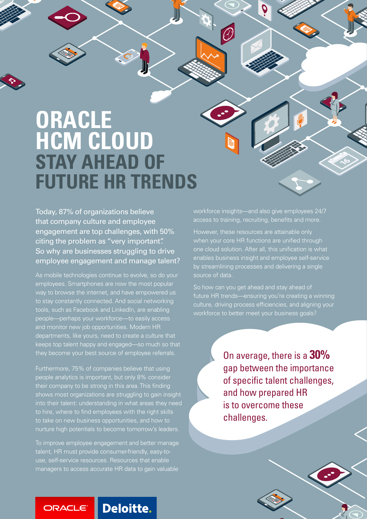# **ORACLE HCM CLOUD STAY AHEAD OF FUTURE HR TRENDS**

Today, 87% of organizations believe that company culture and employee engagement are top challenges, with 50% citing the problem as "very important". So why are businesses struggling to drive employee engagement and manage talent?

As mobile technologies continue to evolve, so do your employees. Smartphones are now the most popular way to browse the internet, and have empowered us to stay constantly connected. And social networking tools, such as Facebook and LinkedIn, are enabling people—perhaps your workforce—to easily access and monitor new job opportunities. Modern HR departments, like yours, need to create a culture that keeps top talent happy and engaged—so much so that they become your best source of employee referrals.

Furthermore, 75% of companies believe that using people analytics is important, but only 8% consider their company to be strong in this area. This finding shows most organizations are struggling to gain insight into their talent: understanding in what areas they need to hire, where to find employees with the right skills to take on new business opportunities, and how to nurture high potentials to become tomorrow's leaders.

To improve employee engagement and better manage talent, HR must provide consumer-friendly, easy-touse, self-service resources. Resources that enable managers to access accurate HR data to gain valuable

workforce insights—and also give employees 24/7 access to training, recruiting, benefits and more.

by streamlining processes and delivering a single<br>source of data However, these resources are attainable only when your core HR functions are unified through one cloud solution. After all, this unification is what enables business insight and employee self-service source of data.

So how can you get ahead and stay ahead of future HR trends—ensuring you're creating a winning<br>culture, driving process efficiencies, and aligning your are top challenges workforce to better meet your business goals? future HR trends—ensuring you're creating a winning

> On average, there is a **30%** gap between the importance of specific talent challenges, and how prepared HR is to overcome these challenges.

**Deloitte.** ORACLE®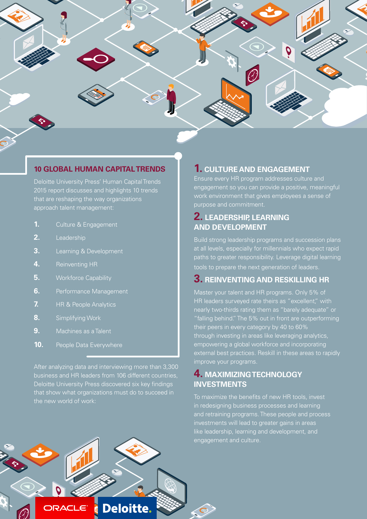

#### **10 GLOBAL HUMAN CAPITAL TRENDS**

Deloitte University Press' Human Capital Trends 2015 report discusses and highlights 10 trends that are reshaping the way organizations approach talent management:

- **1.** Culture & Engagement
- **2.** Leadership
- **3.** Learning & Development
- **4.** Reinventing HR
- **5.** Workforce Capability
- **6.** Performance Management
- **7.** HR & People Analytics
- **8.** Simplifying Work
- **9.** Machines as a Talent
- **10.** People Data Everywhere

After analyzing data and interviewing more than 3,300 business and HR leaders from 106 different countries, Deloitte University Press discovered six key findings that show what organizations must do to succeed in the new world of work:

#### **1. CULTURE AND ENGAGEMENT**

Ensure every HR program addresses culture and engagement so you can provide a positive, meaningful work environment that gives employees a sense of purpose and commitment.

# **2. LEADERSHIP, LEARNING AND DEVELOPMENT**

Build strong leadership programs and succession plans at all levels, especially for millennials who expect rapid paths to greater responsibility. Leverage digital learning tools to prepare the next generation of leaders.

## **3. REINVENTING AND RESKILLING HR**

Master your talent and HR programs. Only 5% of HR leaders surveyed rate theirs as "excellent," with nearly two-thirds rating them as "barely adequate" or "falling behind." The 5% out in front are outperforming their peers in every category by 40 to 60% through investing in areas like leveraging analytics, empowering a global workforce and incorporating external best practices. Reskill in these areas to rapidly improve your programs.

### **4. MAXIMIZING TECHNOLOGY INVESTMENTS**

To maximize the benefits of new HR tools, invest in redesigning business processes and learning and retraining programs. These people and process investments will lead to greater gains in areas like leadership, learning and development, and engagement and culture.

**Deloitte.** ORACLE®